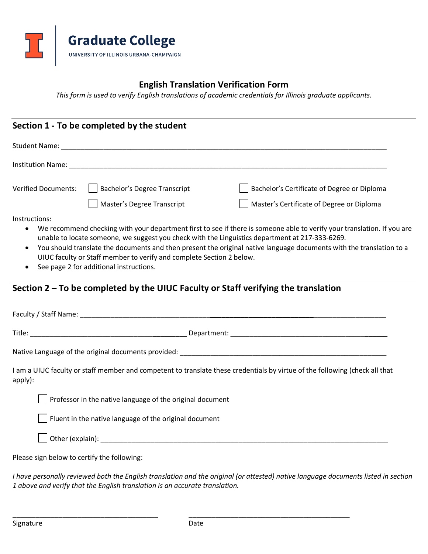

## **English Translation Verification Form**

*This form is used to verify English translations of academic credentials for Illinois graduate applicants.*

| <b>Verified Documents:</b>                  | <b>Bachelor's Degree Transcript</b>                                                | Bachelor's Certificate of Degree or Diploma                                                                                 |  |
|---------------------------------------------|------------------------------------------------------------------------------------|-----------------------------------------------------------------------------------------------------------------------------|--|
|                                             | Master's Degree Transcript                                                         | Master's Certificate of Degree or Diploma                                                                                   |  |
| Instructions:<br>$\bullet$                  |                                                                                    | We recommend checking with your department first to see if there is someone able to verify your translation. If you are     |  |
|                                             |                                                                                    | unable to locate someone, we suggest you check with the Linguistics department at 217-333-6269.                             |  |
|                                             |                                                                                    | You should translate the documents and then present the original native language documents with the translation to a        |  |
|                                             | UIUC faculty or Staff member to verify and complete Section 2 below.               |                                                                                                                             |  |
|                                             | See page 2 for additional instructions.                                            |                                                                                                                             |  |
|                                             | Section 2 – To be completed by the UIUC Faculty or Staff verifying the translation |                                                                                                                             |  |
|                                             |                                                                                    |                                                                                                                             |  |
|                                             |                                                                                    |                                                                                                                             |  |
|                                             |                                                                                    |                                                                                                                             |  |
| apply):                                     |                                                                                    | I am a UIUC faculty or staff member and competent to translate these credentials by virtue of the following (check all that |  |
|                                             | Professor in the native language of the original document                          |                                                                                                                             |  |
|                                             | Fluent in the native language of the original document                             |                                                                                                                             |  |
|                                             |                                                                                    |                                                                                                                             |  |
| Please sign below to certify the following: |                                                                                    |                                                                                                                             |  |

*I have personally reviewed both the English translation and the original (or attested) native language documents listed in section 1 above and verify that the English translation is an accurate translation.*

\_\_\_\_\_\_\_\_\_\_\_\_\_\_\_\_\_\_\_\_\_\_\_\_\_\_\_\_\_\_\_\_\_\_\_\_\_\_ \_\_\_\_\_\_\_\_\_\_\_\_\_\_\_\_\_\_\_\_\_\_\_\_\_\_\_\_\_\_\_\_\_\_\_\_\_\_\_\_\_\_